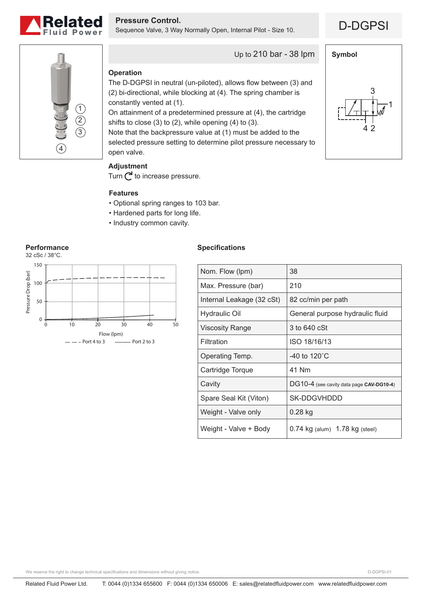

**Pressure Control.**<br>Sequence Valve, 3 Way Normally Open, Internal Pilot - Size 10. **D-DGPSI** 

**Symbol**

1

4 2

3



Up to 210 bar - 38 lpm

# **Operation**

The D-DGPSI in neutral (un-piloted), allows flow between (3) and (2) bi-directional, while blocking at (4). The spring chamber is constantly vented at (1).

On attainment of a predetermined pressure at (4), the cartridge shifts to close (3) to (2), while opening (4) to (3).

Note that the backpressure value at (1) must be added to the selected pressure setting to determine pilot pressure necessary to open valve.

# **Adjustment**

Turn  $\bigcap$  to increase pressure.

### **Features**

- Optional spring ranges to 103 bar.
- Hardened parts for long life.
- Industry common cavity.



# **Specifications**

| Nom. Flow (lpm)           | 38                                       |
|---------------------------|------------------------------------------|
| Max. Pressure (bar)       | 210                                      |
| Internal Leakage (32 cSt) | 82 cc/min per path                       |
| <b>Hydraulic Oil</b>      | General purpose hydraulic fluid          |
| Viscosity Range           | 3 to 640 cSt                             |
| Filtration                | ISO 18/16/13                             |
| Operating Temp.           | -40 to $120^{\circ}$ C                   |
| Cartridge Torque          | 41 Nm                                    |
| Cavity                    | DG10-4 (see cavity data page CAV-DG10-4) |
| Spare Seal Kit (Viton)    | SK-DDGVHDDD                              |
| Weight - Valve only       | $0.28$ kg                                |
| Weight - Valve + Body     | $0.74$ kg (alum) $1.78$ kg (steel)       |